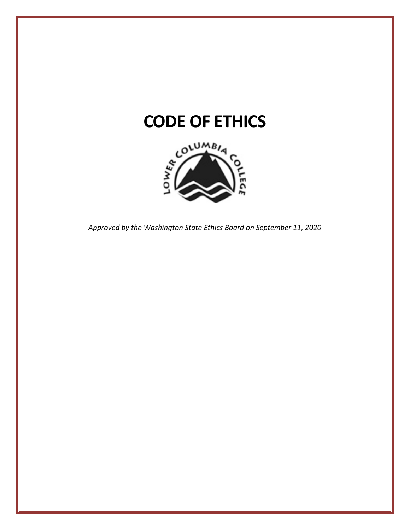

*Approved by the Washington State Ethics Board on September 11, 2020*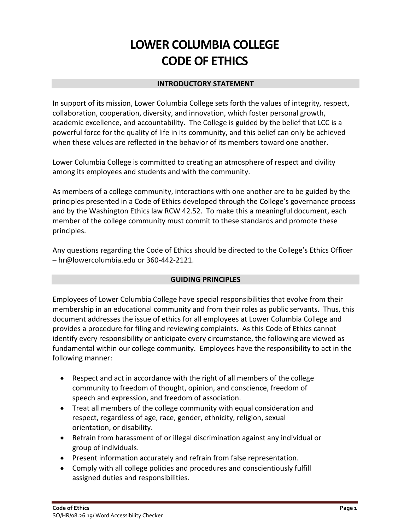# **LOWER COLUMBIA COLLEGE CODE OF ETHICS**

### **INTRODUCTORY STATEMENT**

In support of its mission, Lower Columbia College sets forth the values of integrity, respect, collaboration, cooperation, diversity, and innovation, which foster personal growth, academic excellence, and accountability. The College is guided by the belief that LCC is a powerful force for the quality of life in its community, and this belief can only be achieved when these values are reflected in the behavior of its members toward one another.

Lower Columbia College is committed to creating an atmosphere of respect and civility among its employees and students and with the community.

As members of a college community, interactions with one another are to be guided by the principles presented in a Code of Ethics developed through the College's governance process and by the Washington Ethics law RCW 42.52. To make this a meaningful document, each member of the college community must commit to these standards and promote these principles.

Any questions regarding the Code of Ethics should be directed to the College's Ethics Officer – hr@lowercolumbia.edu or 360-442-2121.

# **GUIDING PRINCIPLES**

Employees of Lower Columbia College have special responsibilities that evolve from their membership in an educational community and from their roles as public servants. Thus, this document addresses the issue of ethics for all employees at Lower Columbia College and provides a procedure for filing and reviewing complaints. As this Code of Ethics cannot identify every responsibility or anticipate every circumstance, the following are viewed as fundamental within our college community. Employees have the responsibility to act in the following manner:

- Respect and act in accordance with the right of all members of the college community to freedom of thought, opinion, and conscience, freedom of speech and expression, and freedom of association.
- Treat all members of the college community with equal consideration and respect, regardless of age, race, gender, ethnicity, religion, sexual orientation, or disability.
- Refrain from harassment of or illegal discrimination against any individual or group of individuals.
- Present information accurately and refrain from false representation.
- Comply with all college policies and procedures and conscientiously fulfill assigned duties and responsibilities.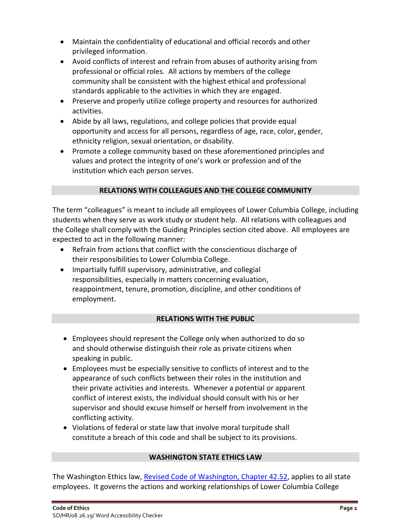- Maintain the confidentiality of educational and official records and other privileged information.
- Avoid conflicts of interest and refrain from abuses of authority arising from professional or official roles. All actions by members of the college community shall be consistent with the highest ethical and professional standards applicable to the activities in which they are engaged.
- Preserve and properly utilize college property and resources for authorized activities.
- Abide by all laws, regulations, and college policies that provide equal opportunity and access for all persons, regardless of age, race, color, gender, ethnicity religion, sexual orientation, or disability.
- Promote a college community based on these aforementioned principles and values and protect the integrity of one's work or profession and of the institution which each person serves.

# **RELATIONS WITH COLLEAGUES AND THE COLLEGE COMMUNITY**

The term "colleagues" is meant to include all employees of Lower Columbia College, including students when they serve as work study or student help. All relations with colleagues and the College shall comply with the Guiding Principles section cited above. All employees are expected to act in the following manner:

- Refrain from actions that conflict with the conscientious discharge of their responsibilities to Lower Columbia College.
- Impartially fulfill supervisory, administrative, and collegial responsibilities, especially in matters concerning evaluation, reappointment, tenure, promotion, discipline, and other conditions of employment.

# **RELATIONS WITH THE PUBLIC**

- Employees should represent the College only when authorized to do so and should otherwise distinguish their role as private citizens when speaking in public.
- Employees must be especially sensitive to conflicts of interest and to the appearance of such conflicts between their roles in the institution and their private activities and interests. Whenever a potential or apparent conflict of interest exists, the individual should consult with his or her supervisor and should excuse himself or herself from involvement in the conflicting activity.
- Violations of federal or state law that involve moral turpitude shall constitute a breach of this code and shall be subject to its provisions.

#### **WASHINGTON STATE ETHICS LAW**

The Washington Ethics law, [Revised Code of Washington, Chapter 42.52,](https://apps.leg.wa.gov/RCW/default.aspx?cite=42.52) applies to all state employees. It governs the actions and working relationships of Lower Columbia College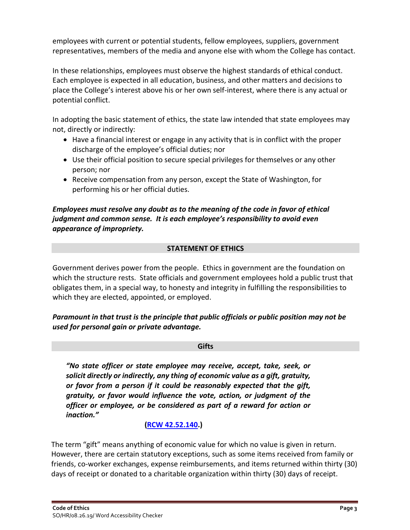employees with current or potential students, fellow employees, suppliers, government representatives, members of the media and anyone else with whom the College has contact.

In these relationships, employees must observe the highest standards of ethical conduct. Each employee is expected in all education, business, and other matters and decisions to place the College's interest above his or her own self-interest, where there is any actual or potential conflict.

In adopting the basic statement of ethics, the state law intended that state employees may not, directly or indirectly:

- Have a financial interest or engage in any activity that is in conflict with the proper discharge of the employee's official duties; nor
- Use their official position to secure special privileges for themselves or any other person; nor
- Receive compensation from any person, except the State of Washington, for performing his or her official duties.

# *Employees must resolve any doubt as to the meaning of the code in favor of ethical judgment and common sense. It is each employee's responsibility to avoid even appearance of impropriety.*

# **STATEMENT OF ETHICS**

Government derives power from the people. Ethics in government are the foundation on which the structure rests. State officials and government employees hold a public trust that obligates them, in a special way, to honesty and integrity in fulfilling the responsibilities to which they are elected, appointed, or employed.

# *Paramount in that trust is the principle that public officials or public position may not be used for personal gain or private advantage.*

# **Gifts**

*"No state officer or state employee may receive, accept, take, seek, or solicit directly or indirectly, any thing of economic value as a gift, gratuity, or favor from a person if it could be reasonably expected that the gift, gratuity, or favor would influence the vote, action, or judgment of the officer or employee, or be considered as part of a reward for action or inaction."*

# **[\(RCW 42.52.140.](https://apps.leg.wa.gov/RCW/default.aspx?cite=42.52.140))**

The term "gift" means anything of economic value for which no value is given in return. However, there are certain statutory exceptions, such as some items received from family or friends, co-worker exchanges, expense reimbursements, and items returned within thirty (30) days of receipt or donated to a charitable organization within thirty (30) days of receipt.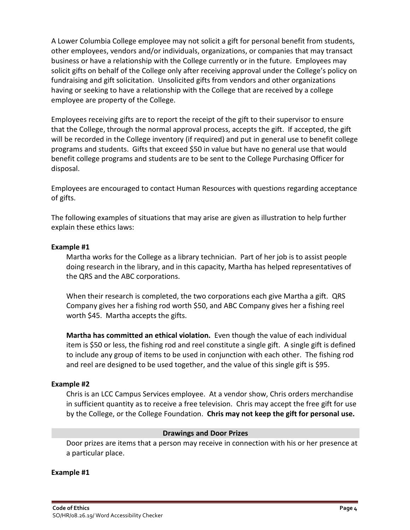A Lower Columbia College employee may not solicit a gift for personal benefit from students, other employees, vendors and/or individuals, organizations, or companies that may transact business or have a relationship with the College currently or in the future. Employees may solicit gifts on behalf of the College only after receiving approval under the College's policy on fundraising and gift solicitation. Unsolicited gifts from vendors and other organizations having or seeking to have a relationship with the College that are received by a college employee are property of the College.

Employees receiving gifts are to report the receipt of the gift to their supervisor to ensure that the College, through the normal approval process, accepts the gift. If accepted, the gift will be recorded in the College inventory (if required) and put in general use to benefit college programs and students. Gifts that exceed \$50 in value but have no general use that would benefit college programs and students are to be sent to the College Purchasing Officer for disposal.

Employees are encouraged to contact Human Resources with questions regarding acceptance of gifts.

The following examples of situations that may arise are given as illustration to help further explain these ethics laws:

### **Example #1**

Martha works for the College as a library technician. Part of her job is to assist people doing research in the library, and in this capacity, Martha has helped representatives of the QRS and the ABC corporations.

When their research is completed, the two corporations each give Martha a gift. QRS Company gives her a fishing rod worth \$50, and ABC Company gives her a fishing reel worth \$45. Martha accepts the gifts.

**Martha has committed an ethical violation.** Even though the value of each individual item is \$50 or less, the fishing rod and reel constitute a single gift. A single gift is defined to include any group of items to be used in conjunction with each other. The fishing rod and reel are designed to be used together, and the value of this single gift is \$95.

#### **Example #2**

Chris is an LCC Campus Services employee. At a vendor show, Chris orders merchandise in sufficient quantity as to receive a free television. Chris may accept the free gift for use by the College, or the College Foundation. **Chris may not keep the gift for personal use.**

#### **Drawings and Door Prizes**

Door prizes are items that a person may receive in connection with his or her presence at a particular place.

#### **Example #1**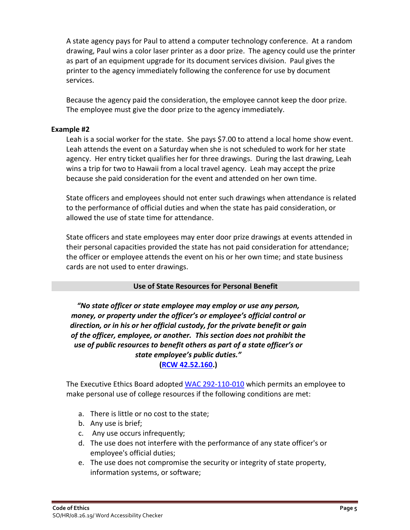A state agency pays for Paul to attend a computer technology conference. At a random drawing, Paul wins a color laser printer as a door prize. The agency could use the printer as part of an equipment upgrade for its document services division. Paul gives the printer to the agency immediately following the conference for use by document services.

Because the agency paid the consideration, the employee cannot keep the door prize. The employee must give the door prize to the agency immediately.

### **Example #2**

Leah is a social worker for the state. She pays \$7.00 to attend a local home show event. Leah attends the event on a Saturday when she is not scheduled to work for her state agency. Her entry ticket qualifies her for three drawings. During the last drawing, Leah wins a trip for two to Hawaii from a local travel agency. Leah may accept the prize because she paid consideration for the event and attended on her own time.

State officers and employees should not enter such drawings when attendance is related to the performance of official duties and when the state has paid consideration, or allowed the use of state time for attendance.

State officers and state employees may enter door prize drawings at events attended in their personal capacities provided the state has not paid consideration for attendance; the officer or employee attends the event on his or her own time; and state business cards are not used to enter drawings.

# **Use of State Resources for Personal Benefit**

*"No state officer or state employee may employ or use any person, money, or property under the officer's or employee's official control or direction, or in his or her official custody, for the private benefit or gain of the officer, employee, or another. This section does not prohibit the use of public resources to benefit others as part of a state officer's or state employee's public duties."* **[\(RCW 42.52.160.](https://apps.leg.wa.gov/RCW/default.aspx?cite=42.52.160))**

The Executive Ethics Board adopted [WAC 292-110-010](https://apps.leg.wa.gov/WAC/default.aspx?cite=292-110-010) which permits an employee to make personal use of college resources if the following conditions are met:

- a. There is little or no cost to the state;
- b. Any use is brief;
- c. Any use occurs infrequently;
- d. The use does not interfere with the performance of any state officer's or employee's official duties;
- e. The use does not compromise the security or integrity of state property, information systems, or software;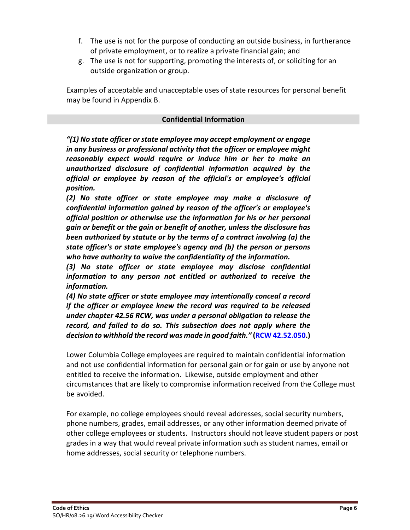- f. The use is not for the purpose of conducting an outside business, in furtherance of private employment, or to realize a private financial gain; and
- g. The use is not for supporting, promoting the interests of, or soliciting for an outside organization or group.

Examples of acceptable and unacceptable uses of state resources for personal benefit may be found in Appendix B.

### **Confidential Information**

*"(1) No state officer or state employee may accept employment or engage in any business or professional activity that the officer or employee might reasonably expect would require or induce him or her to make an unauthorized disclosure of confidential information acquired by the official or employee by reason of the official's or employee's official position.*

*(2) No state officer or state employee may make a disclosure of confidential information gained by reason of the officer's or employee's official position or otherwise use the information for his or her personal gain or benefit or the gain or benefit of another, unless the disclosure has been authorized by statute or by the terms of a contract involving (a) the state officer's or state employee's agency and (b) the person or persons who have authority to waive the confidentiality of the information.*

*(3) No state officer or state employee may disclose confidential information to any person not entitled or authorized to receive the information.*

*(4) No state officer or state employee may intentionally conceal a record if the officer or employee knew the record was required to be released under chapter 42.56 RCW, was under a personal obligation to release the record, and failed to do so. This subsection does not apply where the decision to withhold the record was made in good faith."* **[\(RCW 42.52.050.](https://app.leg.wa.gov/RCW/default.aspx?cite=42.52.050))**

Lower Columbia College employees are required to maintain confidential information and not use confidential information for personal gain or for gain or use by anyone not entitled to receive the information. Likewise, outside employment and other circumstances that are likely to compromise information received from the College must be avoided.

For example, no college employees should reveal addresses, social security numbers, phone numbers, grades, email addresses, or any other information deemed private of other college employees or students. Instructors should not leave student papers or post grades in a way that would reveal private information such as student names, email or home addresses, social security or telephone numbers.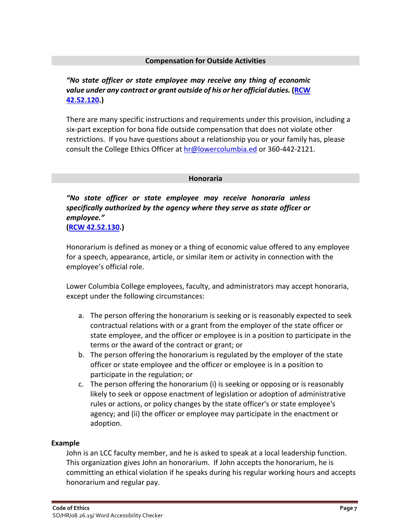#### **Compensation for Outside Activities**

# *"No state officer or state employee may receive any thing of economic value under any contract or grant outside of his or her official duties.* **[\(RCW](https://apps.leg.wa.gov/RCW/default.aspx?cite=42.52.120)  [42.52.120.](https://apps.leg.wa.gov/RCW/default.aspx?cite=42.52.120))**

There are many specific instructions and requirements under this provision, including a six-part exception for bona fide outside compensation that does not violate other restrictions. If you have questions about a relationship you or your family has, please consult the College Ethics Officer at [hr@lowercolumbia.ed](mailto:hr@lowercolumbia.ed) or 360-442-2121.

#### **Honoraria**

*"No state officer or state employee may receive honoraria unless specifically authorized by the agency where they serve as state officer or employee."* **[\(RCW 42.52.130.](https://apps.leg.wa.gov/RCW/default.aspx?cite=42.52.130))**

Honorarium is defined as money or a thing of economic value offered to any employee for a speech, appearance, article, or similar item or activity in connection with the employee's official role.

Lower Columbia College employees, faculty, and administrators may accept honoraria, except under the following circumstances:

- a. The person offering the honorarium is seeking or is reasonably expected to seek contractual relations with or a grant from the employer of the state officer or state employee, and the officer or employee is in a position to participate in the terms or the award of the contract or grant; or
- b. The person offering the honorarium is regulated by the employer of the state officer or state employee and the officer or employee is in a position to participate in the regulation; or
- c. The person offering the honorarium (i) is seeking or opposing or is reasonably likely to seek or oppose enactment of legislation or adoption of administrative rules or actions, or policy changes by the state officer's or state employee's agency; and (ii) the officer or employee may participate in the enactment or adoption.

#### **Example**

John is an LCC faculty member, and he is asked to speak at a local leadership function. This organization gives John an honorarium. If John accepts the honorarium, he is committing an ethical violation if he speaks during his regular working hours and accepts honorarium and regular pay.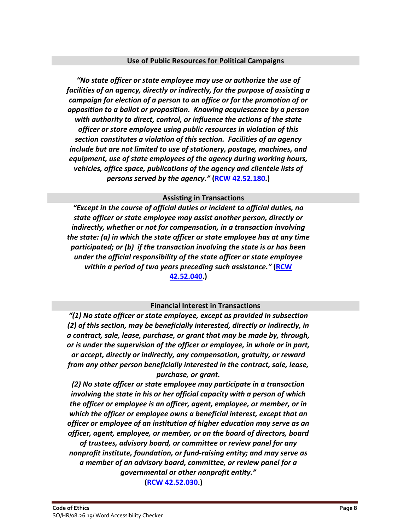#### **Use of Public Resources for Political Campaigns**

*"No state officer or state employee may use or authorize the use of facilities of an agency, directly or indirectly, for the purpose of assisting a campaign for election of a person to an office or for the promotion of or opposition to a ballot or proposition. Knowing acquiescence by a person with authority to direct, control, or influence the actions of the state officer or store employee using public resources in violation of this section constitutes a violation of this section. Facilities of an agency include but are not limited to use of stationery, postage, machines, and equipment, use of state employees of the agency during working hours, vehicles, office space, publications of the agency and clientele lists of persons served by the agency."* **[\(RCW 42.52.180.](https://apps.leg.wa.gov/rcw/default.aspx?cite=42.52.180))**

#### **Assisting in Transactions**

*"Except in the course of official duties or incident to official duties, no state officer or state employee may assist another person, directly or indirectly, whether or not for compensation, in a transaction involving the state: (a) in which the state officer or state employee has at any time participated; or (b) if the transaction involving the state is or has been under the official responsibility of the state officer or state employee within a period of two years preceding such assistance."* **[\(RCW](https://app.leg.wa.gov/RCW/default.aspx?cite=42.52.040)  [42.52.040.](https://app.leg.wa.gov/RCW/default.aspx?cite=42.52.040))**

#### **Financial Interest in Transactions**

*"(1) No state officer or state employee, except as provided in subsection (2) of this section, may be beneficially interested, directly or indirectly, in a contract, sale, lease, purchase, or grant that may be made by, through, or is under the supervision of the officer or employee, in whole or in part, or accept, directly or indirectly, any compensation, gratuity, or reward from any other person beneficially interested in the contract, sale, lease, purchase, or grant.*

*(2) No state officer or state employee may participate in a transaction involving the state in his or her official capacity with a person of which the officer or employee is an officer, agent, employee, or member, or in which the officer or employee owns a beneficial interest, except that an officer or employee of an institution of higher education may serve as an officer, agent, employee, or member, or on the board of directors, board of trustees, advisory board, or committee or review panel for any nonprofit institute, foundation, or fund-raising entity; and may serve as a member of an advisory board, committee, or review panel for a governmental or other nonprofit entity."* **[\(RCW 42.52.030.](https://app.leg.wa.gov/RCW/default.aspx?cite=42.52.030))**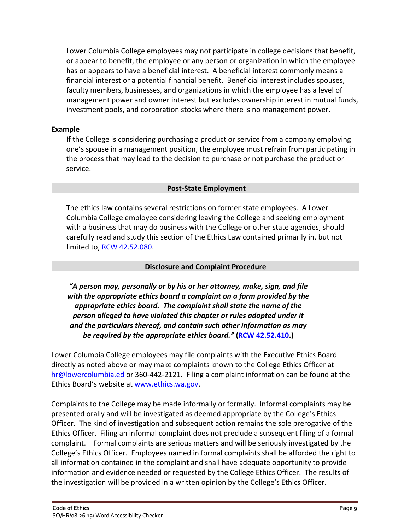Lower Columbia College employees may not participate in college decisions that benefit, or appear to benefit, the employee or any person or organization in which the employee has or appears to have a beneficial interest. A beneficial interest commonly means a financial interest or a potential financial benefit. Beneficial interest includes spouses, faculty members, businesses, and organizations in which the employee has a level of management power and owner interest but excludes ownership interest in mutual funds, investment pools, and corporation stocks where there is no management power.

### **Example**

If the College is considering purchasing a product or service from a company employing one's spouse in a management position, the employee must refrain from participating in the process that may lead to the decision to purchase or not purchase the product or service.

#### **Post-State Employment**

The ethics law contains several restrictions on former state employees. A Lower Columbia College employee considering leaving the College and seeking employment with a business that may do business with the College or other state agencies, should carefully read and study this section of the Ethics Law contained primarily in, but not limited to, [RCW 42.52.080.](https://app.leg.wa.gov/RCW/default.aspx?cite=42.52.080)

#### **Disclosure and Complaint Procedure**

*"A person may, personally or by his or her attorney, make, sign, and file with the appropriate ethics board a complaint on a form provided by the appropriate ethics board. The complaint shall state the name of the person alleged to have violated this chapter or rules adopted under it and the particulars thereof, and contain such other information as may be required by the appropriate ethics board."* **[\(RCW 42.52.410.](https://app.leg.wa.gov/RCW/default.aspx?cite=42.52.410))**

Lower Columbia College employees may file complaints with the Executive Ethics Board directly as noted above or may make complaints known to the College Ethics Officer at [hr@lowercolumbia.ed](mailto:hr@lowercolumbia.ed) or 360-442-2121. Filing a complaint information can be found at the Ethics Board's website at [www.ethics.wa.gov.](http://www.ethics.wa.gov/)

Complaints to the College may be made informally or formally. Informal complaints may be presented orally and will be investigated as deemed appropriate by the College's Ethics Officer. The kind of investigation and subsequent action remains the sole prerogative of the Ethics Officer. Filing an informal complaint does not preclude a subsequent filing of a formal complaint. Formal complaints are serious matters and will be seriously investigated by the College's Ethics Officer. Employees named in formal complaints shall be afforded the right to all information contained in the complaint and shall have adequate opportunity to provide information and evidence needed or requested by the College Ethics Officer. The results of the investigation will be provided in a written opinion by the College's Ethics Officer.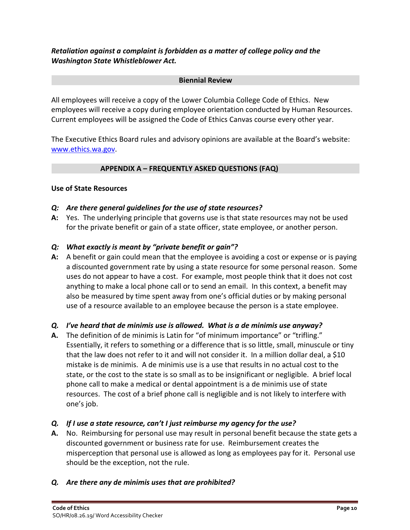*Retaliation against a complaint is forbidden as a matter of college policy and the Washington State Whistleblower Act.*

#### **Biennial Review**

All employees will receive a copy of the Lower Columbia College Code of Ethics. New employees will receive a copy during employee orientation conducted by Human Resources. Current employees will be assigned the Code of Ethics Canvas course every other year.

The Executive Ethics Board rules and advisory opinions are available at the Board's website: [www.ethics.wa.gov.](http://www.ethics.wa.gov/)

### **APPENDIX A – FREQUENTLY ASKED QUESTIONS (FAQ)**

#### **Use of State Resources**

#### *Q: Are there general guidelines for the use of state resources?*

**A:** Yes. The underlying principle that governs use is that state resources may not be used for the private benefit or gain of a state officer, state employee, or another person.

#### *Q: What exactly is meant by "private benefit or gain"?*

**A:** A benefit or gain could mean that the employee is avoiding a cost or expense or is paying a discounted government rate by using a state resource for some personal reason. Some uses do not appear to have a cost. For example, most people think that it does not cost anything to make a local phone call or to send an email. In this context, a benefit may also be measured by time spent away from one's official duties or by making personal use of a resource available to an employee because the person is a state employee.

#### *Q. I've heard that de minimis use is allowed. What is a de minimis use anyway?*

**A.** The definition of de minimis is Latin for "of minimum importance" or "trifling." Essentially, it refers to something or a difference that is so little, small, minuscule or tiny that the law does not refer to it and will not consider it. In a million dollar deal, a \$10 mistake is de minimis. A de minimis use is a use that results in no actual cost to the state, or the cost to the state is so small as to be insignificant or negligible. A brief local phone call to make a medical or dental appointment is a de minimis use of state resources. The cost of a brief phone call is negligible and is not likely to interfere with one's job.

#### *Q. If I use a state resource, can't I just reimburse my agency for the use?*

- **A.** No. Reimbursing for personal use may result in personal benefit because the state gets a discounted government or business rate for use. Reimbursement creates the misperception that personal use is allowed as long as employees pay for it. Personal use should be the exception, not the rule.
- *Q. Are there any de minimis uses that are prohibited?*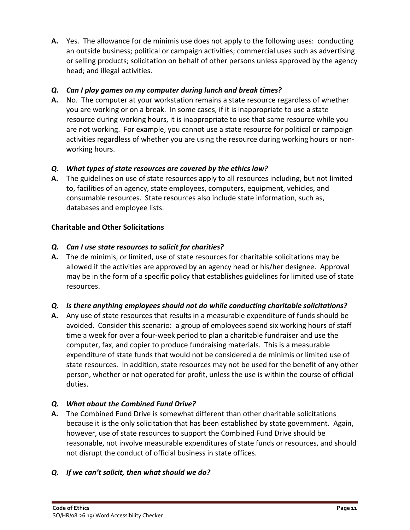**A.** Yes. The allowance for de minimis use does not apply to the following uses: conducting an outside business; political or campaign activities; commercial uses such as advertising or selling products; solicitation on behalf of other persons unless approved by the agency head; and illegal activities.

# *Q. Can I play games on my computer during lunch and break times?*

**A.** No. The computer at your workstation remains a state resource regardless of whether you are working or on a break. In some cases, if it is inappropriate to use a state resource during working hours, it is inappropriate to use that same resource while you are not working. For example, you cannot use a state resource for political or campaign activities regardless of whether you are using the resource during working hours or nonworking hours.

# *Q. What types of state resources are covered by the ethics law?*

**A.** The guidelines on use of state resources apply to all resources including, but not limited to, facilities of an agency, state employees, computers, equipment, vehicles, and consumable resources. State resources also include state information, such as, databases and employee lists.

# **Charitable and Other Solicitations**

# *Q. Can I use state resources to solicit for charities?*

**A.** The de minimis, or limited, use of state resources for charitable solicitations may be allowed if the activities are approved by an agency head or his/her designee. Approval may be in the form of a specific policy that establishes guidelines for limited use of state resources.

# *Q. Is there anything employees should not do while conducting charitable solicitations?*

**A.** Any use of state resources that results in a measurable expenditure of funds should be avoided. Consider this scenario: a group of employees spend six working hours of staff time a week for over a four-week period to plan a charitable fundraiser and use the computer, fax, and copier to produce fundraising materials. This is a measurable expenditure of state funds that would not be considered a de minimis or limited use of state resources. In addition, state resources may not be used for the benefit of any other person, whether or not operated for profit, unless the use is within the course of official duties.

# *Q. What about the Combined Fund Drive?*

**A.** The Combined Fund Drive is somewhat different than other charitable solicitations because it is the only solicitation that has been established by state government. Again, however, use of state resources to support the Combined Fund Drive should be reasonable, not involve measurable expenditures of state funds or resources, and should not disrupt the conduct of official business in state offices.

# *Q. If we can't solicit, then what should we do?*